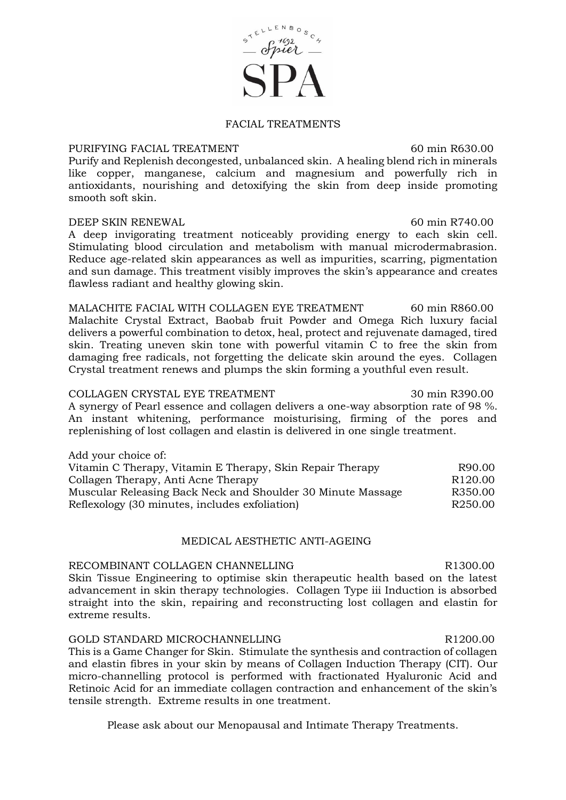### FACIAL TREATMENTS

## PURIFYING FACIAL TREATMENT 60 min R630.00

Purify and Replenish decongested, unbalanced skin. A healing blend rich in minerals like copper, manganese, calcium and magnesium and powerfully rich in antioxidants, nourishing and detoxifying the skin from deep inside promoting smooth soft skin.

#### DEEP SKIN RENEWAL 60 min R740.00

A deep invigorating treatment noticeably providing energy to each skin cell. Stimulating blood circulation and metabolism with manual microdermabrasion. Reduce age-related skin appearances as well as impurities, scarring, pigmentation and sun damage. This treatment visibly improves the skin's appearance and creates flawless radiant and healthy glowing skin.

MALACHITE FACIAL WITH COLLAGEN EYE TREATMENT 60 min R860.00 Malachite Crystal Extract, Baobab fruit Powder and Omega Rich luxury facial delivers a powerful combination to detox, heal, protect and rejuvenate damaged, tired skin. Treating uneven skin tone with powerful vitamin C to free the skin from damaging free radicals, not forgetting the delicate skin around the eyes. Collagen Crystal treatment renews and plumps the skin forming a youthful even result.

### COLLAGEN CRYSTAL EYE TREATMENT 30 min R390.00

A synergy of Pearl essence and collagen delivers a one-way absorption rate of 98 %. An instant whitening, performance moisturising, firming of the pores and replenishing of lost collagen and elastin is delivered in one single treatment.

| Add your choice of:                                         |                     |
|-------------------------------------------------------------|---------------------|
| Vitamin C Therapy, Vitamin E Therapy, Skin Repair Therapy   | R90.00              |
| Collagen Therapy, Anti Acne Therapy                         | R <sub>120.00</sub> |
| Muscular Releasing Back Neck and Shoulder 30 Minute Massage | R350.00             |
| Reflexology (30 minutes, includes exfoliation)              | R <sub>250.00</sub> |

#### MEDICAL AESTHETIC ANTI-AGEING

# RECOMBINANT COLLAGEN CHANNELLING **RECOMBINANT** COLLAGEN CHANNELLING

Skin Tissue Engineering to optimise skin therapeutic health based on the latest advancement in skin therapy technologies. Collagen Type iii Induction is absorbed straight into the skin, repairing and reconstructing lost collagen and elastin for extreme results.

#### GOLD STANDARD MICROCHANNELLING R1200.00

This is a Game Changer for Skin. Stimulate the synthesis and contraction of collagen and elastin fibres in your skin by means of Collagen Induction Therapy (CIT). Our micro-channelling protocol is performed with fractionated Hyaluronic Acid and Retinoic Acid for an immediate collagen contraction and enhancement of the skin's tensile strength. Extreme results in one treatment.

Please ask about our Menopausal and Intimate Therapy Treatments.

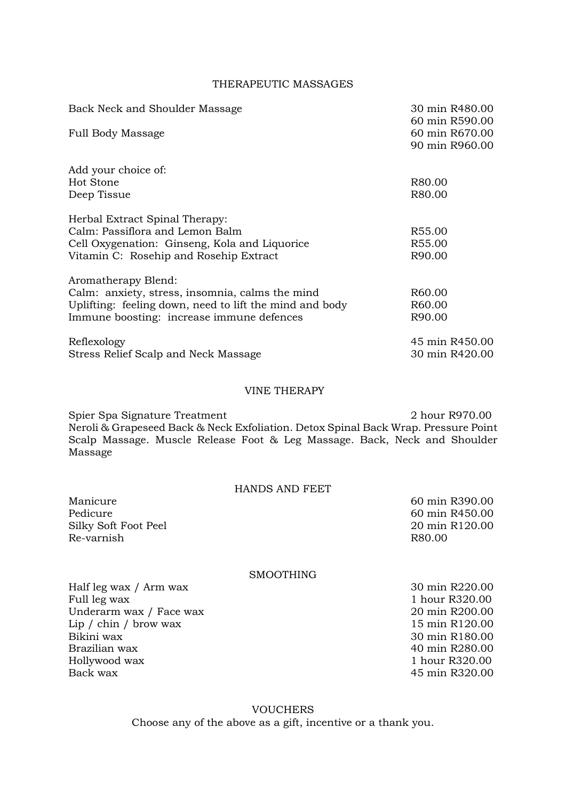## THERAPEUTIC MASSAGES

| Back Neck and Shoulder Massage                          | 30 min R480.00<br>60 min R590.00 |
|---------------------------------------------------------|----------------------------------|
| <b>Full Body Massage</b>                                | 60 min R670.00                   |
|                                                         | 90 min R960.00                   |
| Add your choice of:                                     |                                  |
| Hot Stone                                               | R80.00                           |
| Deep Tissue                                             | R80.00                           |
| Herbal Extract Spinal Therapy:                          |                                  |
| Calm: Passiflora and Lemon Balm                         | R55.00                           |
| Cell Oxygenation: Ginseng, Kola and Liquorice           | R55.00                           |
| Vitamin C: Rosehip and Rosehip Extract                  | R90.00                           |
| Aromatherapy Blend:                                     |                                  |
| Calm: anxiety, stress, insomnia, calms the mind         | R <sub>60.00</sub>               |
| Uplifting: feeling down, need to lift the mind and body | R60.00                           |
| Immune boosting: increase immune defences               | R90.00                           |
| Reflexology                                             | 45 min R450.00                   |
| Stress Relief Scalp and Neck Massage                    | 30 min R420.00                   |

### VINE THERAPY

Spier Spa Signature Treatment 2 hour R970.00 Neroli & Grapeseed Back & Neck Exfoliation. Detox Spinal Back Wrap. Pressure Point Scalp Massage. Muscle Release Foot & Leg Massage. Back, Neck and Shoulder Massage

| HANDS AND FEET       |                |
|----------------------|----------------|
| Manicure             | 60 min R390.00 |
| Pedicure             | 60 min R450.00 |
| Silky Soft Foot Peel | 20 min R120.00 |
| Re-varnish           | R80.00         |
|                      |                |

### SMOOTHING

| Half leg wax / Arm wax  | 30 min R220.00 |
|-------------------------|----------------|
| Full leg wax            | 1 hour R320.00 |
| Underarm wax / Face wax | 20 min R200.00 |
| Lip / chin / brow wax   | 15 min R120.00 |
| Bikini wax              | 30 min R180.00 |
| Brazilian wax           | 40 min R280.00 |
| Hollywood wax           | 1 hour R320.00 |
| Back wax                | 45 min R320.00 |
|                         |                |

VOUCHERS Choose any of the above as a gift, incentive or a thank you.